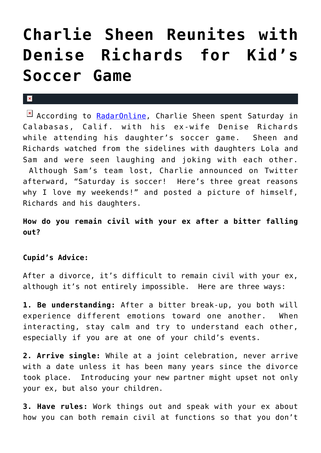# **[Charlie Sheen Reunites with](https://cupidspulse.com/22817/two-and-a-half-men-charlie-sheen-reunites-with-exdenise-richards-for-kids-soccer-game/) [Denise Richards for Kid's](https://cupidspulse.com/22817/two-and-a-half-men-charlie-sheen-reunites-with-exdenise-richards-for-kids-soccer-game/) [Soccer Game](https://cupidspulse.com/22817/two-and-a-half-men-charlie-sheen-reunites-with-exdenise-richards-for-kids-soccer-game/)**

### $\mathbf{R}$

According to [RadarOnline](http://www.radaronline.com/exclusives/2011/11/charlie-sheen-denise-richards-sam-lola-soccer-photos), Charlie Sheen spent Saturday in Calabasas, Calif. with his ex-wife Denise Richards while attending his daughter's soccer game. Sheen and Richards watched from the sidelines with daughters Lola and Sam and were seen laughing and joking with each other. Although Sam's team lost, Charlie announced on Twitter afterward, "Saturday is soccer! Here's three great reasons why I love my weekends!" and posted a picture of himself, Richards and his daughters.

**How do you remain civil with your ex after a bitter falling out?**

## **Cupid's Advice:**

After a divorce, it's difficult to remain civil with your ex, although it's not entirely impossible. Here are three ways:

**1. Be understanding:** After a bitter break-up, you both will experience different emotions toward one another. When interacting, stay calm and try to understand each other, especially if you are at one of your child's events.

**2. Arrive single:** While at a joint celebration, never arrive with a date unless it has been many years since the divorce took place. Introducing your new partner might upset not only your ex, but also your children.

**3. Have rules:** Work things out and speak with your ex about how you can both remain civil at functions so that you don't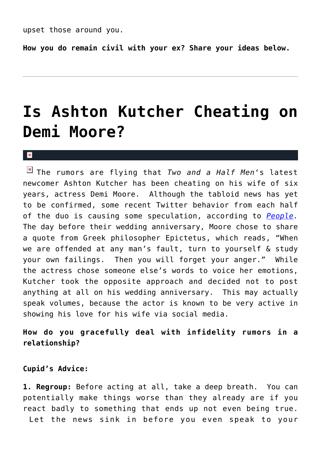upset those around you.

**How you do remain civil with your ex? Share your ideas below.**

## **[Is Ashton Kutcher Cheating on](https://cupidspulse.com/20797/two-and-a-half-men-ashton-kutcher-allegedly-cheated-actress-demi-moore-infidelity/) [Demi Moore?](https://cupidspulse.com/20797/two-and-a-half-men-ashton-kutcher-allegedly-cheated-actress-demi-moore-infidelity/)**

#### $\mathbf{x}$

The rumors are flying that *Two and a Half Men*'s latest newcomer Ashton Kutcher has been cheating on his wife of six years, actress Demi Moore. Although the tabloid news has yet to be confirmed, some recent Twitter behavior from each half of the duo is causing some speculation, according to *[People.](http://www.people.com/people/article/0,,20532466,00.html?xid=rss-topheadlines)* The day before their wedding anniversary, Moore chose to share a quote from Greek philosopher Epictetus, which reads, "When we are offended at any man's fault, turn to yourself & study your own failings. Then you will forget your anger." While the actress chose someone else's words to voice her emotions, Kutcher took the opposite approach and decided not to post anything at all on his wedding anniversary. This may actually speak volumes, because the actor is known to be very active in showing his love for his wife via social media.

**How do you gracefully deal with infidelity rumors in a relationship?**

**Cupid's Advice:**

**1. Regroup:** Before acting at all, take a deep breath. You can potentially make things worse than they already are if you react badly to something that ends up not even being true. Let the news sink in before you even speak to your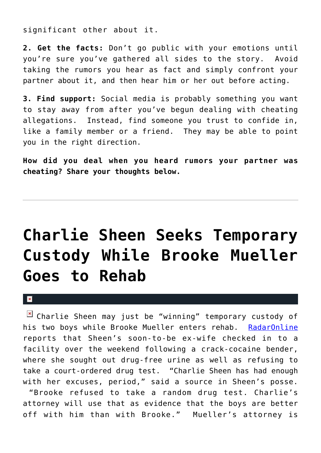significant other about it.

**2. Get the facts:** Don't go public with your emotions until you're sure you've gathered all sides to the story. Avoid taking the rumors you hear as fact and simply confront your partner about it, and then hear him or her out before acting.

**3. Find support:** Social media is probably something you want to stay away from after you've begun dealing with cheating allegations. Instead, find someone you trust to confide in, like a family member or a friend. They may be able to point you in the right direction.

**How did you deal when you heard rumors your partner was cheating? Share your thoughts below.**

# **[Charlie Sheen Seeks Temporary](https://cupidspulse.com/14081/charlie-sheen-seeks-temporary-custody-while-brooke-mueller-goes-to-rehab/) [Custody While Brooke Mueller](https://cupidspulse.com/14081/charlie-sheen-seeks-temporary-custody-while-brooke-mueller-goes-to-rehab/) [Goes to Rehab](https://cupidspulse.com/14081/charlie-sheen-seeks-temporary-custody-while-brooke-mueller-goes-to-rehab/)**

#### $\mathbf{x}$

 $\boxed{\times}$  Charlie Sheen may just be "winning" temporary custody of his two boys while Brooke Mueller enters rehab. [RadarOnline](http://www.radaronline.com/exclusives/2011/04/charlie-sheen-seeks-custody-with-twins-mom-back-rehab) reports that Sheen's soon-to-be ex-wife checked in to a facility over the weekend following a crack-cocaine bender, where she sought out drug-free urine as well as refusing to take a court-ordered drug test. "Charlie Sheen has had enough with her excuses, period," said a source in Sheen's posse.

 "Brooke refused to take a random drug test. Charlie's attorney will use that as evidence that the boys are better off with him than with Brooke." Mueller's attorney is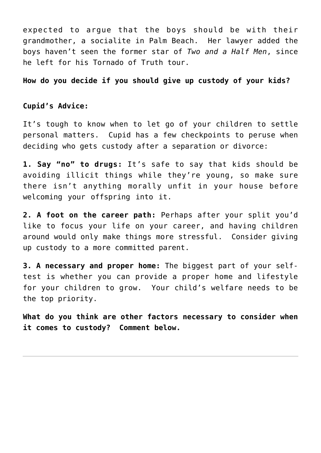expected to argue that the boys should be with their grandmother, a socialite in Palm Beach. Her lawyer added the boys haven't seen the former star of *Two and a Half Men*, since he left for his Tornado of Truth tour.

## **How do you decide if you should give up custody of your kids?**

## **Cupid's Advice:**

It's tough to know when to let go of your children to settle personal matters. Cupid has a few checkpoints to peruse when deciding who gets custody after a separation or divorce:

**1. Say "no" to drugs:** It's safe to say that kids should be avoiding illicit things while they're young, so make sure there isn't anything morally unfit in your house before welcoming your offspring into it.

**2. A foot on the career path:** Perhaps after your split you'd like to focus your life on your career, and having children around would only make things more stressful. Consider giving up custody to a more committed parent.

**3. A necessary and proper home:** The biggest part of your selftest is whether you can provide a proper home and lifestyle for your children to grow. Your child's welfare needs to be the top priority.

**What do you think are other factors necessary to consider when it comes to custody? Comment below.**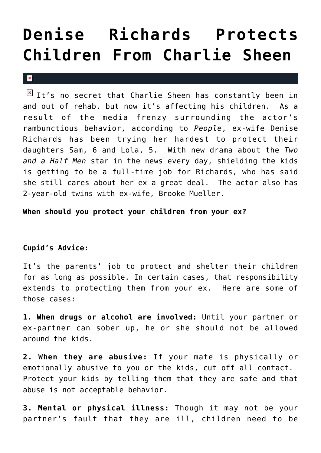## **[Denise Richards Protects](https://cupidspulse.com/10113/denise-richards-protects-children-from-charlie-sheen/) [Children From Charlie Sheen](https://cupidspulse.com/10113/denise-richards-protects-children-from-charlie-sheen/)**

#### $\mathbf x$

 $\boxed{\times}$  It's no secret that Charlie Sheen has constantly been in and out of rehab, but now it's affecting his children. As a result of the media frenzy surrounding the actor's rambunctious behavior, according to *People*, ex-wife Denise Richards has been trying her hardest to protect their daughters Sam, 6 and Lola, 5. With new drama about the *Two and a Half Men* star in the news every day, shielding the kids is getting to be a full-time job for Richards, who has said she still cares about her ex a great deal. The actor also has 2-year-old twins with ex-wife, Brooke Mueller.

**When should you protect your children from your ex?**

## **Cupid's Advice:**

It's the parents' job to protect and shelter their children for as long as possible. In certain cases, that responsibility extends to protecting them from your ex. Here are some of those cases:

**1. When drugs or alcohol are involved:** Until your partner or ex-partner can sober up, he or she should not be allowed around the kids.

**2. When they are abusive:** If your mate is physically or emotionally abusive to you or the kids, cut off all contact. Protect your kids by telling them that they are safe and that abuse is not acceptable behavior.

**3. Mental or physical illness:** Though it may not be your partner's fault that they are ill, children need to be